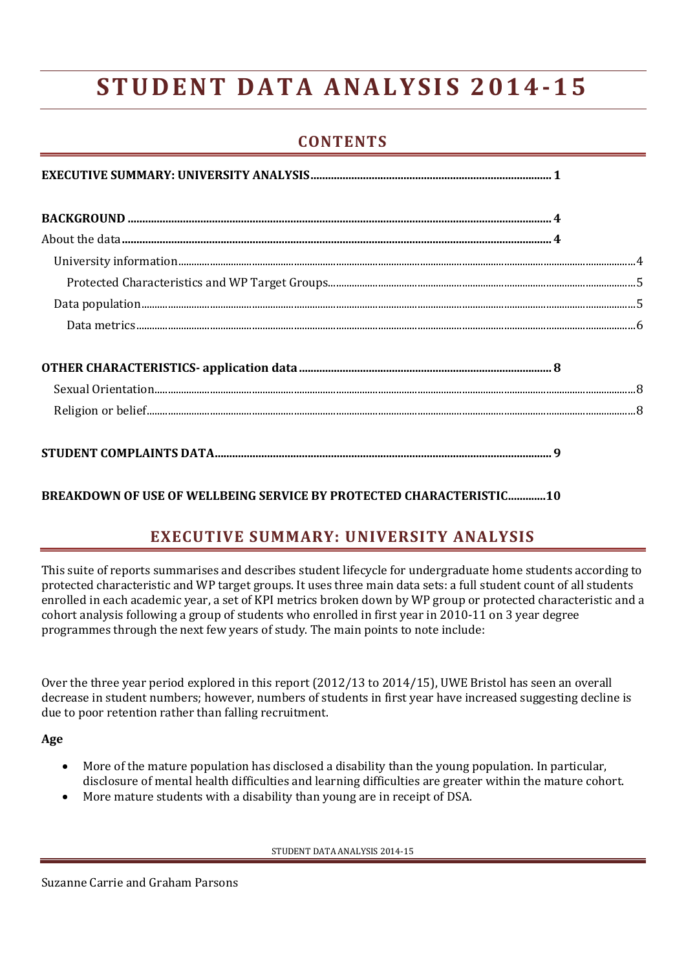# **S T U D E N T D A T A A N A L Y S I S 2 0 1 4-1 5**

# **CONTENTS**

<span id="page-0-0"></span>**[BREAKDOWN OF USE OF WELLBEING SERVICE BY PROTECTED CHARACTERISTIC.............10](#page-9-0)**

# **EXECUTIVE SUMMARY: UNIVERSITY ANALYSIS**

This suite of reports summarises and describes student lifecycle for undergraduate home students according to protected characteristic and WP target groups. It uses three main data sets: a full student count of all students enrolled in each academic year, a set of KPI metrics broken down by WP group or protected characteristic and a cohort analysis following a group of students who enrolled in first year in 2010-11 on 3 year degree programmes through the next few years of study. The main points to note include:

Over the three year period explored in this report (2012/13 to 2014/15), UWE Bristol has seen an overall decrease in student numbers; however, numbers of students in first year have increased suggesting decline is due to poor retention rather than falling recruitment.

**Age**

- More of the mature population has disclosed a disability than the young population. In particular, disclosure of mental health difficulties and learning difficulties are greater within the mature cohort.
- More mature students with a disability than young are in receipt of DSA.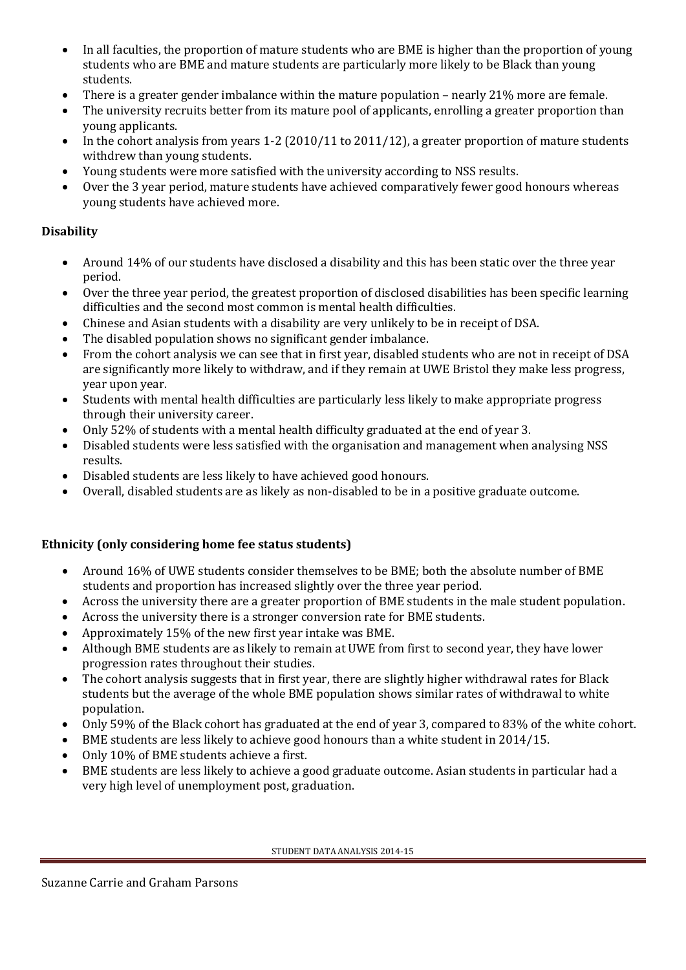- In all faculties, the proportion of mature students who are BME is higher than the proportion of young students who are BME and mature students are particularly more likely to be Black than young students.
- There is a greater gender imbalance within the mature population nearly 21% more are female.
- The university recruits better from its mature pool of applicants, enrolling a greater proportion than young applicants.
- In the cohort analysis from years 1-2 (2010/11 to 2011/12), a greater proportion of mature students withdrew than young students.
- Young students were more satisfied with the university according to NSS results.
- Over the 3 year period, mature students have achieved comparatively fewer good honours whereas young students have achieved more.

## **Disability**

- Around 14% of our students have disclosed a disability and this has been static over the three year period.
- Over the three year period, the greatest proportion of disclosed disabilities has been specific learning difficulties and the second most common is mental health difficulties.
- Chinese and Asian students with a disability are very unlikely to be in receipt of DSA.
- The disabled population shows no significant gender imbalance.
- From the cohort analysis we can see that in first year, disabled students who are not in receipt of DSA are significantly more likely to withdraw, and if they remain at UWE Bristol they make less progress, year upon year.
- Students with mental health difficulties are particularly less likely to make appropriate progress through their university career.
- Only 52% of students with a mental health difficulty graduated at the end of year 3.
- Disabled students were less satisfied with the organisation and management when analysing NSS results.
- Disabled students are less likely to have achieved good honours.
- Overall, disabled students are as likely as non-disabled to be in a positive graduate outcome.

## **Ethnicity (only considering home fee status students)**

- Around 16% of UWE students consider themselves to be BME; both the absolute number of BME students and proportion has increased slightly over the three year period.
- Across the university there are a greater proportion of BME students in the male student population.
- Across the university there is a stronger conversion rate for BME students.
- Approximately 15% of the new first year intake was BME.
- Although BME students are as likely to remain at UWE from first to second year, they have lower progression rates throughout their studies.
- The cohort analysis suggests that in first year, there are slightly higher withdrawal rates for Black students but the average of the whole BME population shows similar rates of withdrawal to white population.
- Only 59% of the Black cohort has graduated at the end of year 3, compared to 83% of the white cohort.
- BME students are less likely to achieve good honours than a white student in 2014/15.
- Only 10% of BME students achieve a first.
- BME students are less likely to achieve a good graduate outcome. Asian students in particular had a very high level of unemployment post, graduation.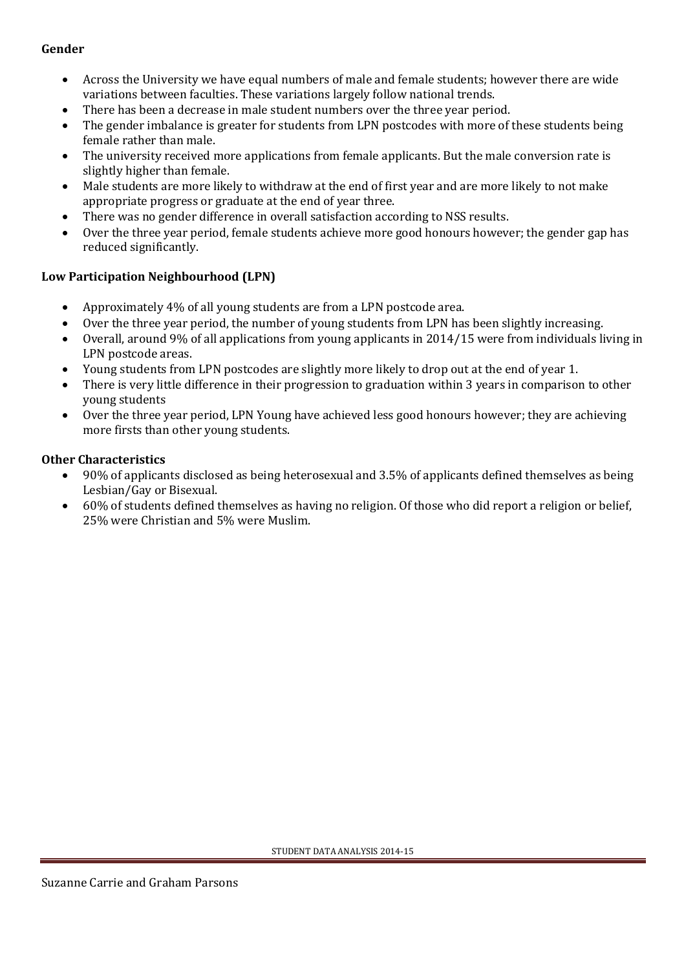#### **Gender**

- Across the University we have equal numbers of male and female students; however there are wide variations between faculties. These variations largely follow national trends.
- There has been a decrease in male student numbers over the three year period.
- The gender imbalance is greater for students from LPN postcodes with more of these students being female rather than male.
- The university received more applications from female applicants. But the male conversion rate is slightly higher than female.
- Male students are more likely to withdraw at the end of first year and are more likely to not make appropriate progress or graduate at the end of year three.
- There was no gender difference in overall satisfaction according to NSS results.
- Over the three year period, female students achieve more good honours however; the gender gap has reduced significantly.

## **Low Participation Neighbourhood (LPN)**

- Approximately 4% of all young students are from a LPN postcode area.
- Over the three year period, the number of young students from LPN has been slightly increasing.
- Overall, around 9% of all applications from young applicants in 2014/15 were from individuals living in LPN postcode areas.
- Young students from LPN postcodes are slightly more likely to drop out at the end of year 1.
- There is very little difference in their progression to graduation within 3 years in comparison to other young students
- Over the three year period, LPN Young have achieved less good honours however; they are achieving more firsts than other young students.

#### **Other Characteristics**

- 90% of applicants disclosed as being heterosexual and 3.5% of applicants defined themselves as being Lesbian/Gay or Bisexual.
- 60% of students defined themselves as having no religion. Of those who did report a religion or belief, 25% were Christian and 5% were Muslim.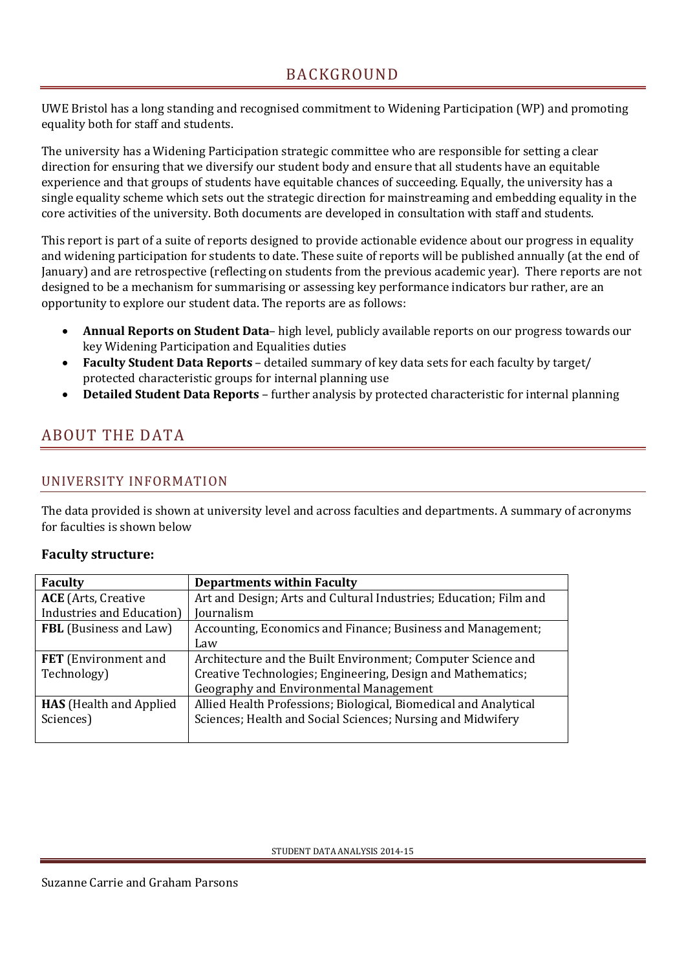<span id="page-3-0"></span>UWE Bristol has a long standing and recognised commitment to Widening Participation (WP) and promoting equality both for staff and students.

The university has a Widening Participation strategic committee who are responsible for setting a clear direction for ensuring that we diversify our student body and ensure that all students have an equitable experience and that groups of students have equitable chances of succeeding. Equally, the university has a single equality scheme which sets out the strategic direction for mainstreaming and embedding equality in the core activities of the university. Both documents are developed in consultation with staff and students.

This report is part of a suite of reports designed to provide actionable evidence about our progress in equality and widening participation for students to date. These suite of reports will be published annually (at the end of January) and are retrospective (reflecting on students from the previous academic year). There reports are not designed to be a mechanism for summarising or assessing key performance indicators bur rather, are an opportunity to explore our student data. The reports are as follows:

- **Annual Reports on Student Data** high level, publicly available reports on our progress towards our key Widening Participation and Equalities duties
- **Faculty Student Data Reports** detailed summary of key data sets for each faculty by target/ protected characteristic groups for internal planning use
- **Detailed Student Data Reports** further analysis by protected characteristic for internal planning

# <span id="page-3-1"></span>ABOUT THE DATA

# <span id="page-3-2"></span>UNIVERSITY INFORMATION

The data provided is shown at university level and across faculties and departments. A summary of acronyms for faculties is shown below

## **Faculty structure:**

| <b>Faculty</b>                 | <b>Departments within Faculty</b>                                 |
|--------------------------------|-------------------------------------------------------------------|
| <b>ACE</b> (Arts, Creative     | Art and Design; Arts and Cultural Industries; Education; Film and |
| Industries and Education)      | Journalism                                                        |
| <b>FBL</b> (Business and Law)  | Accounting, Economics and Finance; Business and Management;       |
|                                | Law                                                               |
| <b>FET</b> (Environment and    | Architecture and the Built Environment; Computer Science and      |
| Technology)                    | Creative Technologies; Engineering, Design and Mathematics;       |
|                                | Geography and Environmental Management                            |
| <b>HAS</b> (Health and Applied | Allied Health Professions; Biological, Biomedical and Analytical  |
| Sciences)                      | Sciences; Health and Social Sciences; Nursing and Midwifery       |
|                                |                                                                   |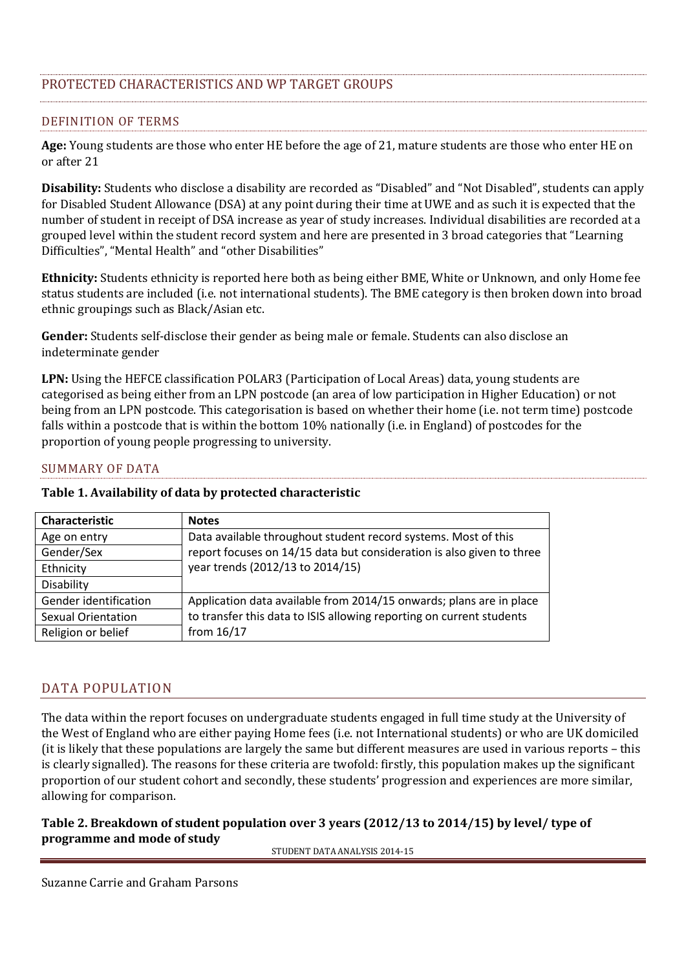# <span id="page-4-0"></span>PROTECTED CHARACTERISTICS AND WP TARGET GROUPS

#### DEFINITION OF TERMS

**Age:** Young students are those who enter HE before the age of 21, mature students are those who enter HE on or after 21

**Disability:** Students who disclose a disability are recorded as "Disabled" and "Not Disabled", students can apply for Disabled Student Allowance (DSA) at any point during their time at UWE and as such it is expected that the number of student in receipt of DSA increase as year of study increases. Individual disabilities are recorded at a grouped level within the student record system and here are presented in 3 broad categories that "Learning Difficulties", "Mental Health" and "other Disabilities"

**Ethnicity:** Students ethnicity is reported here both as being either BME, White or Unknown, and only Home fee status students are included (i.e. not international students). The BME category is then broken down into broad ethnic groupings such as Black/Asian etc.

**Gender:** Students self-disclose their gender as being male or female. Students can also disclose an indeterminate gender

**LPN:** Using the HEFCE classification POLAR3 (Participation of Local Areas) data, young students are categorised as being either from an LPN postcode (an area of low participation in Higher Education) or not being from an LPN postcode. This categorisation is based on whether their home (i.e. not term time) postcode falls within a postcode that is within the bottom 10% nationally (i.e. in England) of postcodes for the proportion of young people progressing to university.

#### SUMMARY OF DATA

#### **Table 1. Availability of data by protected characteristic**

| Characteristic            | <b>Notes</b>                                                          |
|---------------------------|-----------------------------------------------------------------------|
| Age on entry              | Data available throughout student record systems. Most of this        |
| Gender/Sex                | report focuses on 14/15 data but consideration is also given to three |
| Ethnicity                 | year trends (2012/13 to 2014/15)                                      |
| Disability                |                                                                       |
| Gender identification     | Application data available from 2014/15 onwards; plans are in place   |
| <b>Sexual Orientation</b> | to transfer this data to ISIS allowing reporting on current students  |
| Religion or belief        | from 16/17                                                            |

#### <span id="page-4-1"></span>DATA POPULATION

The data within the report focuses on undergraduate students engaged in full time study at the University of the West of England who are either paying Home fees (i.e. not International students) or who are UK domiciled (it is likely that these populations are largely the same but different measures are used in various reports – this is clearly signalled). The reasons for these criteria are twofold: firstly, this population makes up the significant proportion of our student cohort and secondly, these students' progression and experiences are more similar, allowing for comparison.

#### **Table 2. Breakdown of student population over 3 years (2012/13 to 2014/15) by level/ type of programme and mode of study**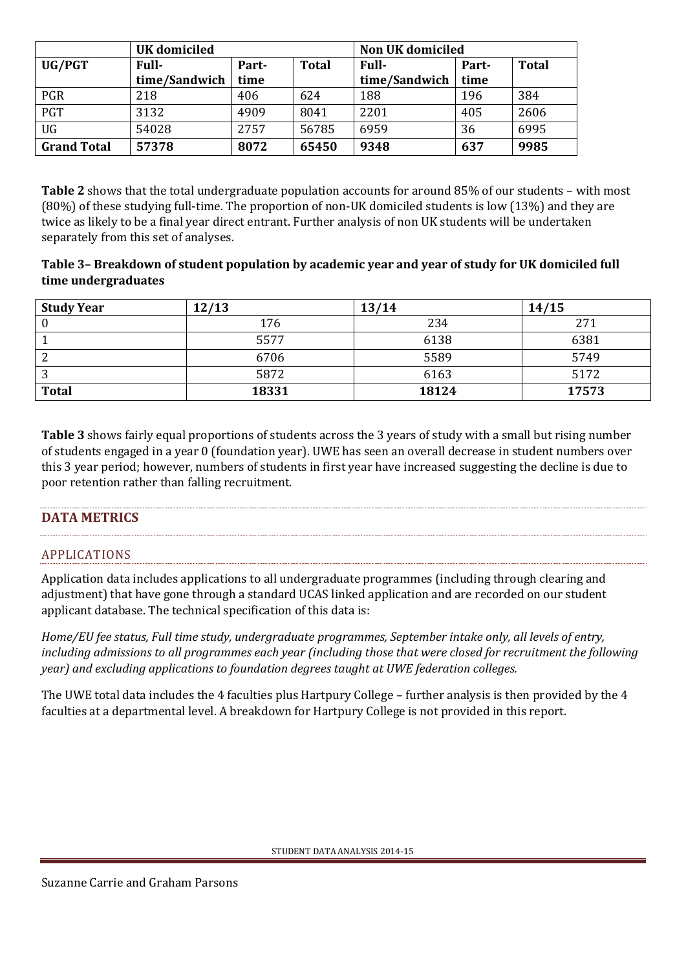|                    | <b>UK</b> domiciled |       |              | <b>Non UK domiciled</b> |       |              |
|--------------------|---------------------|-------|--------------|-------------------------|-------|--------------|
| UG/PGT             | <b>Full-</b>        | Part- | <b>Total</b> | <b>Full-</b>            | Part- | <b>Total</b> |
|                    | time/Sandwich       | time  |              | time/Sandwich           | time  |              |
| <b>PGR</b>         | 218                 | 406   | 624          | 188                     | 196   | 384          |
| PGT                | 3132                | 4909  | 8041         | 2201                    | 405   | 2606         |
| <b>UG</b>          | 54028               | 2757  | 56785        | 6959                    | 36    | 6995         |
| <b>Grand Total</b> | 57378               | 8072  | 65450        | 9348                    | 637   | 9985         |

**Table 2** shows that the total undergraduate population accounts for around 85% of our students – with most (80%) of these studying full-time. The proportion of non-UK domiciled students is low (13%) and they are twice as likely to be a final year direct entrant. Further analysis of non UK students will be undertaken separately from this set of analyses.

#### **Table 3– Breakdown of student population by academic year and year of study for UK domiciled full time undergraduates**

| <b>Study Year</b> | 12/13 | 13/14 | 14/15 |
|-------------------|-------|-------|-------|
| $\bf{0}$          | 176   | 234   | 271   |
|                   | 5577  | 6138  | 6381  |
| ◠                 | 6706  | 5589  | 5749  |
| ി<br>J            | 5872  | 6163  | 5172  |
| <b>Total</b>      | 18331 | 18124 | 17573 |

**Table 3** shows fairly equal proportions of students across the 3 years of study with a small but rising number of students engaged in a year 0 (foundation year). UWE has seen an overall decrease in student numbers over this 3 year period; however, numbers of students in first year have increased suggesting the decline is due to poor retention rather than falling recruitment.

## <span id="page-5-0"></span>**DATA METRICS**

## APPLICATIONS

Application data includes applications to all undergraduate programmes (including through clearing and adjustment) that have gone through a standard UCAS linked application and are recorded on our student applicant database. The technical specification of this data is:

*Home/EU fee status, Full time study, undergraduate programmes, September intake only, all levels of entry, including admissions to all programmes each year (including those that were closed for recruitment the following year) and excluding applications to foundation degrees taught at UWE federation colleges.* 

The UWE total data includes the 4 faculties plus Hartpury College – further analysis is then provided by the 4 faculties at a departmental level. A breakdown for Hartpury College is not provided in this report.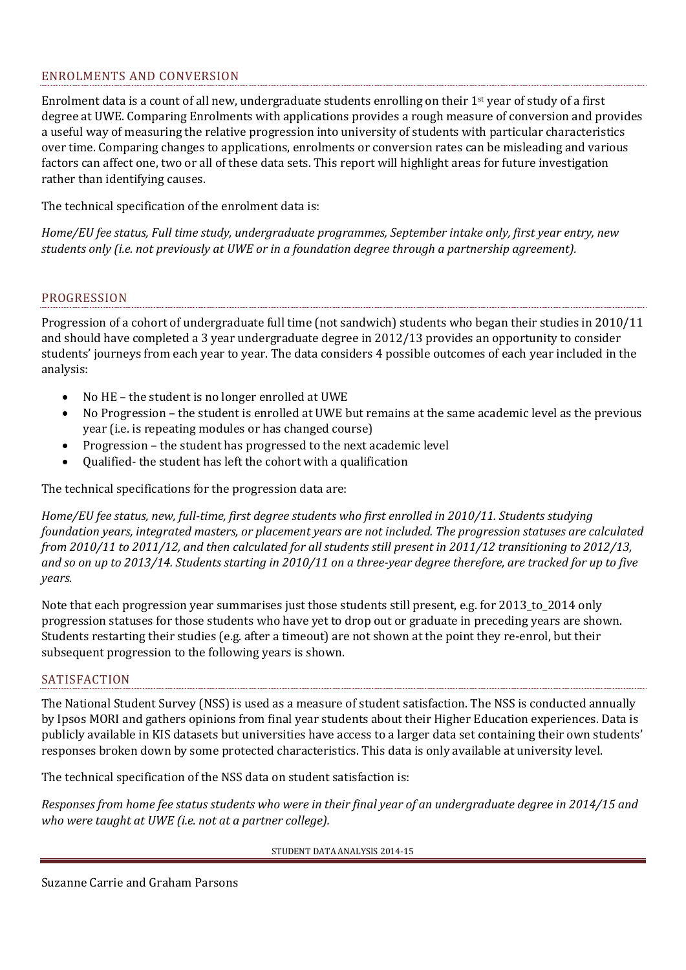#### ENROLMENTS AND CONVERSION

Enrolment data is a count of all new, undergraduate students enrolling on their 1st year of study of a first degree at UWE. Comparing Enrolments with applications provides a rough measure of conversion and provides a useful way of measuring the relative progression into university of students with particular characteristics over time. Comparing changes to applications, enrolments or conversion rates can be misleading and various factors can affect one, two or all of these data sets. This report will highlight areas for future investigation rather than identifying causes.

The technical specification of the enrolment data is:

*Home/EU fee status, Full time study, undergraduate programmes, September intake only, first year entry, new students only (i.e. not previously at UWE or in a foundation degree through a partnership agreement).* 

#### PROGRESSION

Progression of a cohort of undergraduate full time (not sandwich) students who began their studies in 2010/11 and should have completed a 3 year undergraduate degree in 2012/13 provides an opportunity to consider students' journeys from each year to year. The data considers 4 possible outcomes of each year included in the analysis:

- No HE the student is no longer enrolled at UWE
- No Progression the student is enrolled at UWE but remains at the same academic level as the previous year (i.e. is repeating modules or has changed course)
- Progression the student has progressed to the next academic level
- Qualified- the student has left the cohort with a qualification

The technical specifications for the progression data are:

*Home/EU fee status, new, full-time, first degree students who first enrolled in 2010/11. Students studying foundation years, integrated masters, or placement years are not included. The progression statuses are calculated from 2010/11 to 2011/12, and then calculated for all students still present in 2011/12 transitioning to 2012/13, and so on up to 2013/14. Students starting in 2010/11 on a three-year degree therefore, are tracked for up to five years.* 

Note that each progression year summarises just those students still present, e.g. for 2013\_to\_2014 only progression statuses for those students who have yet to drop out or graduate in preceding years are shown. Students restarting their studies (e.g. after a timeout) are not shown at the point they re-enrol, but their subsequent progression to the following years is shown.

#### **SATISFACTION**

The National Student Survey (NSS) is used as a measure of student satisfaction. The NSS is conducted annually by Ipsos MORI and gathers opinions from final year students about their Higher Education experiences. Data is publicly available in KIS datasets but universities have access to a larger data set containing their own students' responses broken down by some protected characteristics. This data is only available at university level.

The technical specification of the NSS data on student satisfaction is:

*Responses from home fee status students who were in their final year of an undergraduate degree in 2014/15 and who were taught at UWE (i.e. not at a partner college).*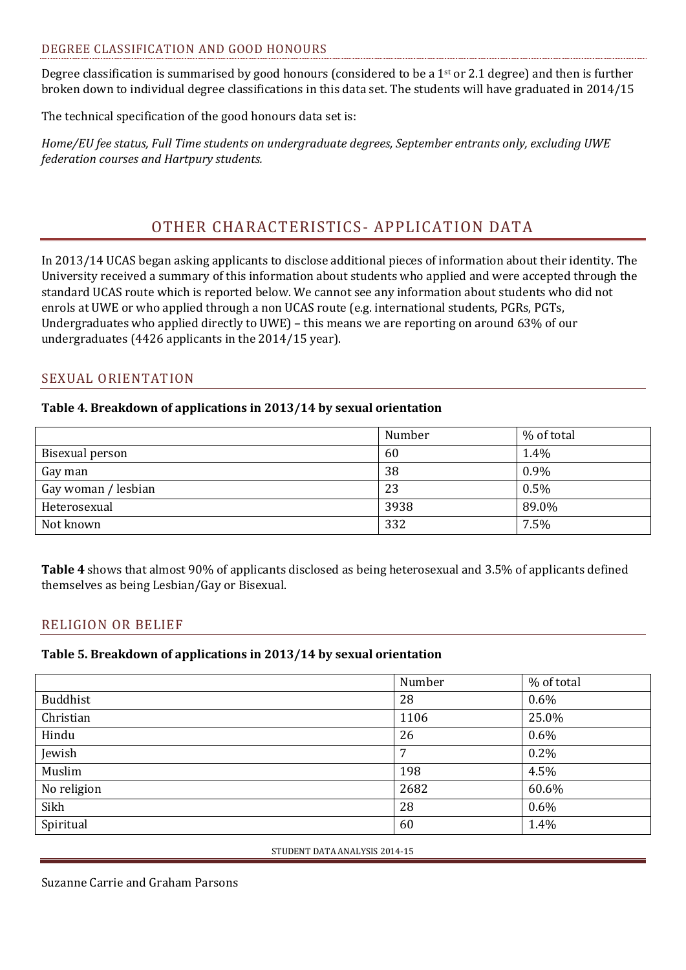#### DEGREE CLASSIFICATION AND GOOD HONOURS

Degree classification is summarised by good honours (considered to be a 1<sup>st</sup> or 2.1 degree) and then is further broken down to individual degree classifications in this data set. The students will have graduated in 2014/15

The technical specification of the good honours data set is:

*Home/EU fee status, Full Time students on undergraduate degrees, September entrants only, excluding UWE federation courses and Hartpury students.*

# OTHER CHARACTERISTICS- APPLICATION DATA

<span id="page-7-0"></span>In 2013/14 UCAS began asking applicants to disclose additional pieces of information about their identity. The University received a summary of this information about students who applied and were accepted through the standard UCAS route which is reported below. We cannot see any information about students who did not enrols at UWE or who applied through a non UCAS route (e.g. international students, PGRs, PGTs, Undergraduates who applied directly to UWE) – this means we are reporting on around 63% of our undergraduates (4426 applicants in the 2014/15 year).

#### <span id="page-7-1"></span>SEXUAL ORIENTATION

#### **Table 4. Breakdown of applications in 2013/14 by sexual orientation**

|                     | Number | % of total |
|---------------------|--------|------------|
| Bisexual person     | 60     | 1.4%       |
| Gay man             | 38     | 0.9%       |
| Gay woman / lesbian | 23     | 0.5%       |
| Heterosexual        | 3938   | 89.0%      |
| Not known           | 332    | 7.5%       |

**Table 4** shows that almost 90% of applicants disclosed as being heterosexual and 3.5% of applicants defined themselves as being Lesbian/Gay or Bisexual.

## <span id="page-7-2"></span>RELIGION OR BELIEF

#### **Table 5. Breakdown of applications in 2013/14 by sexual orientation**

|                 | Number | % of total |
|-----------------|--------|------------|
| <b>Buddhist</b> | 28     | $0.6\%$    |
| Christian       | 1106   | 25.0%      |
| Hindu           | 26     | $0.6\%$    |
| Jewish          | 7      | 0.2%       |
| Muslim          | 198    | 4.5%       |
| No religion     | 2682   | 60.6%      |
| Sikh            | 28     | $0.6\%$    |
| Spiritual       | 60     | 1.4%       |

STUDENT DATA ANALYSIS 2014-15

Suzanne Carrie and Graham Parsons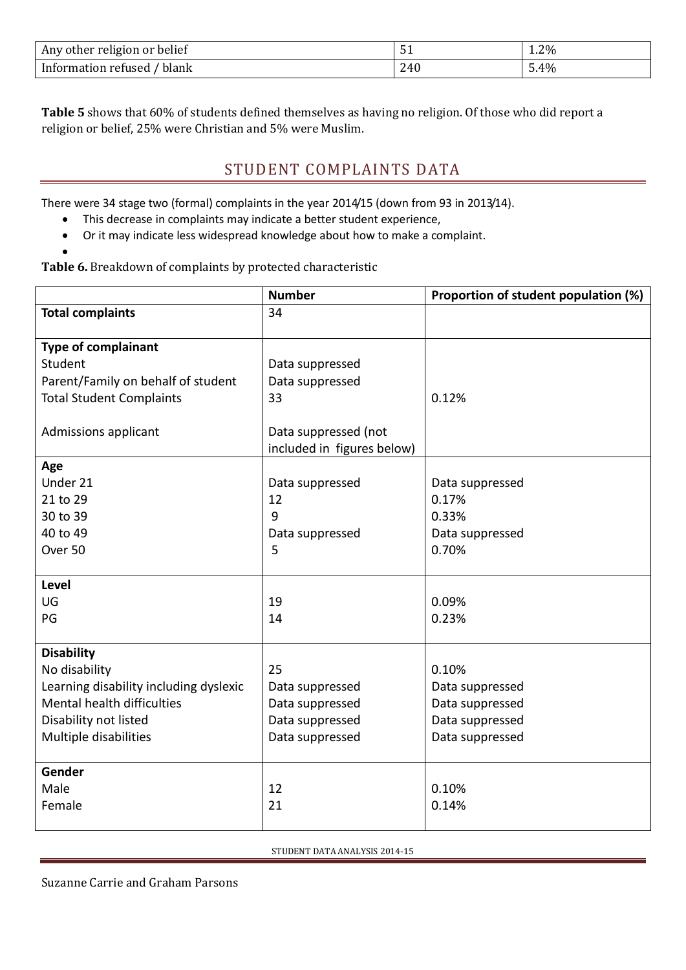| Any other religion or belief |     | 1.2% |
|------------------------------|-----|------|
| blank<br>Information refused | 240 | 5.4% |

<span id="page-8-0"></span>**Table 5** shows that 60% of students defined themselves as having no religion. Of those who did report a religion or belief, 25% were Christian and 5% were Muslim.

# STUDENT COMPLAINTS DATA

There were 34 stage two (formal) complaints in the year 2014/15 (down from 93 in 2013/14).

- This decrease in complaints may indicate a better student experience,
- Or it may indicate less widespread knowledge about how to make a complaint.

**Table 6.** Breakdown of complaints by protected characteristic

 $\bullet$ 

|                                        | <b>Number</b>              | Proportion of student population (%) |
|----------------------------------------|----------------------------|--------------------------------------|
| <b>Total complaints</b>                | 34                         |                                      |
|                                        |                            |                                      |
| <b>Type of complainant</b>             |                            |                                      |
| Student                                | Data suppressed            |                                      |
| Parent/Family on behalf of student     | Data suppressed            |                                      |
| <b>Total Student Complaints</b>        | 33                         | 0.12%                                |
|                                        |                            |                                      |
| Admissions applicant                   | Data suppressed (not       |                                      |
|                                        | included in figures below) |                                      |
| Age                                    |                            |                                      |
| Under 21                               | Data suppressed            | Data suppressed                      |
| 21 to 29                               | 12                         | 0.17%                                |
| 30 to 39                               | 9                          | 0.33%                                |
| 40 to 49                               | Data suppressed            | Data suppressed                      |
| Over 50                                | 5                          | 0.70%                                |
|                                        |                            |                                      |
| <b>Level</b>                           |                            |                                      |
| UG                                     | 19                         | 0.09%                                |
| PG                                     | 14                         | 0.23%                                |
|                                        |                            |                                      |
| <b>Disability</b>                      |                            |                                      |
| No disability                          | 25                         | 0.10%                                |
| Learning disability including dyslexic | Data suppressed            | Data suppressed                      |
| Mental health difficulties             | Data suppressed            | Data suppressed                      |
| Disability not listed                  | Data suppressed            | Data suppressed                      |
| Multiple disabilities                  | Data suppressed            | Data suppressed                      |
|                                        |                            |                                      |
| Gender                                 |                            |                                      |
| Male                                   | 12                         | 0.10%                                |
| Female                                 | 21                         | 0.14%                                |
|                                        |                            |                                      |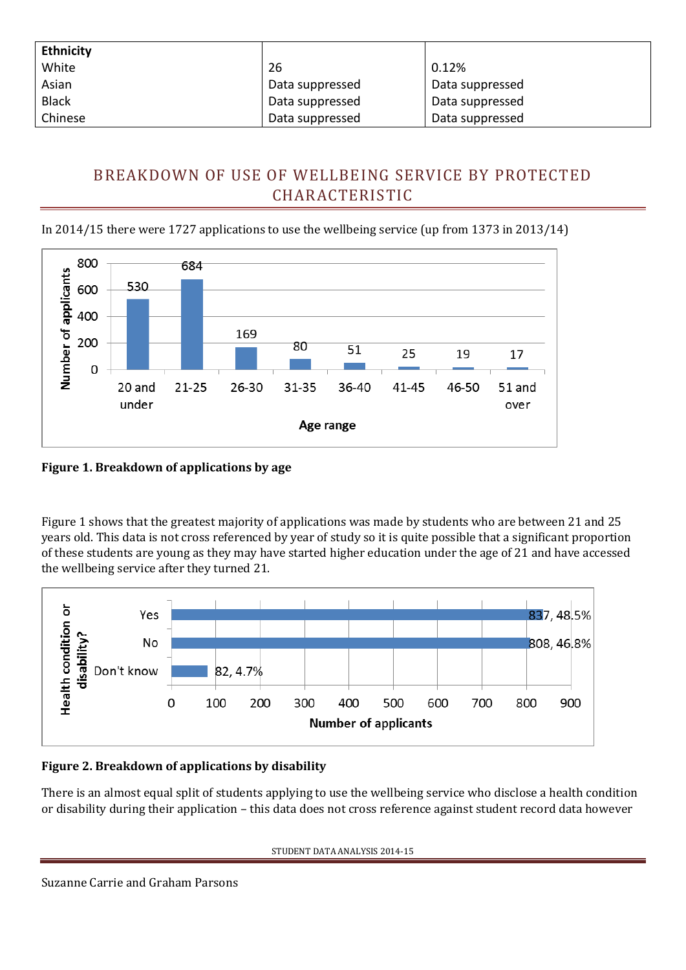| <b>Ethnicity</b> |                 |                 |
|------------------|-----------------|-----------------|
| White            | 26              | 0.12%           |
| Asian            | Data suppressed | Data suppressed |
| <b>Black</b>     | Data suppressed | Data suppressed |
| Chinese          | Data suppressed | Data suppressed |

# <span id="page-9-0"></span>BREAKDOWN OF USE OF WELLBEING SERVICE BY PROTECTED CHARACTERISTIC

In 2014/15 there were 1727 applications to use the wellbeing service (up from 1373 in 2013/14)



**Figure 1. Breakdown of applications by age**

Figure 1 shows that the greatest majority of applications was made by students who are between 21 and 25 years old. This data is not cross referenced by year of study so it is quite possible that a significant proportion of these students are young as they may have started higher education under the age of 21 and have accessed the wellbeing service after they turned 21.



# **Figure 2. Breakdown of applications by disability**

There is an almost equal split of students applying to use the wellbeing service who disclose a health condition or disability during their application – this data does not cross reference against student record data however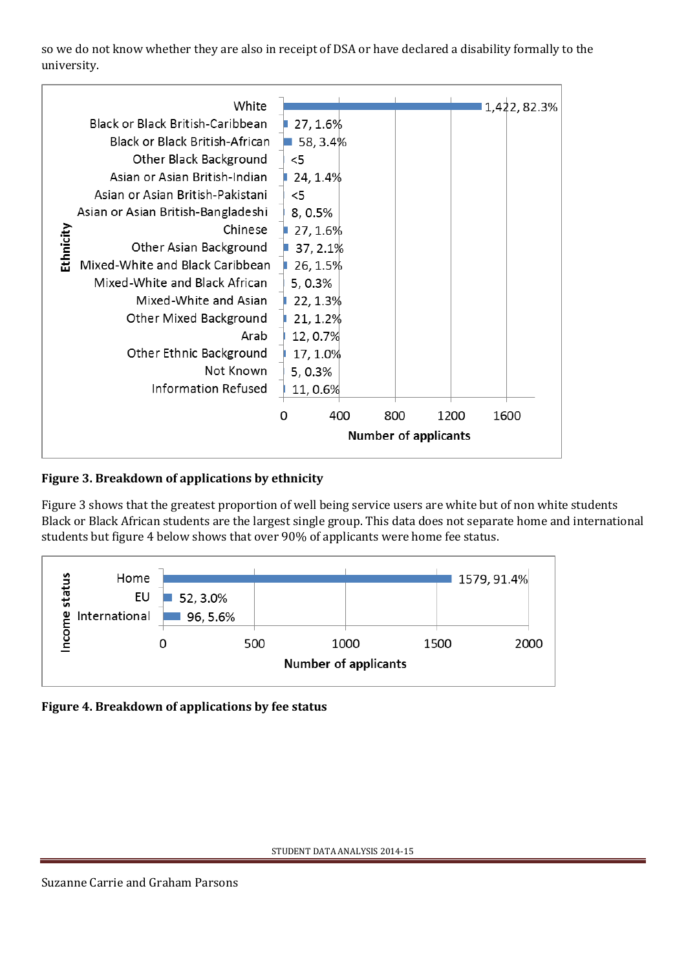so we do not know whether they are also in receipt of DSA or have declared a disability formally to the university.

| White                               | 1,422, 82.3%                    |
|-------------------------------------|---------------------------------|
| Black or Black British-Caribbean    | 27, 1.6%                        |
| Black or Black British-African      | 58, 3.4%                        |
| Other Black Background              | $<$ 5                           |
| Asian or Asian British-Indian       | 24, 1.4%                        |
| Asian or Asian British-Pakistani    | $<$ 5                           |
| Asian or Asian British-Bangladeshi  | 8, 0.5%                         |
| Chinese                             | 27, 1.6%                        |
| Ethnicity<br>Other Asian Background | 37, 2.1%                        |
| Mixed-White and Black Caribbean     | 26, 1.5%                        |
| Mixed-White and Black African       | 5, 0.3%                         |
| Mixed-White and Asian               | 22, 1.3%                        |
| Other Mixed Background              | 21, 1.2%                        |
| Arab                                | 12, 0.7%                        |
| Other Ethnic Background             | 17, 1.0%                        |
| Not Known                           | 5, 0.3%                         |
| <b>Information Refused</b>          | 11,0.6%                         |
|                                     | 400<br>800<br>1200<br>1600<br>Ω |
|                                     | <b>Number of applicants</b>     |
|                                     |                                 |

# **Figure 3. Breakdown of applications by ethnicity**

Figure 3 shows that the greatest proportion of well being service users are white but of non white students Black or Black African students are the largest single group. This data does not separate home and international students but figure 4 below shows that over 90% of applicants were home fee status.



**Figure 4. Breakdown of applications by fee status**